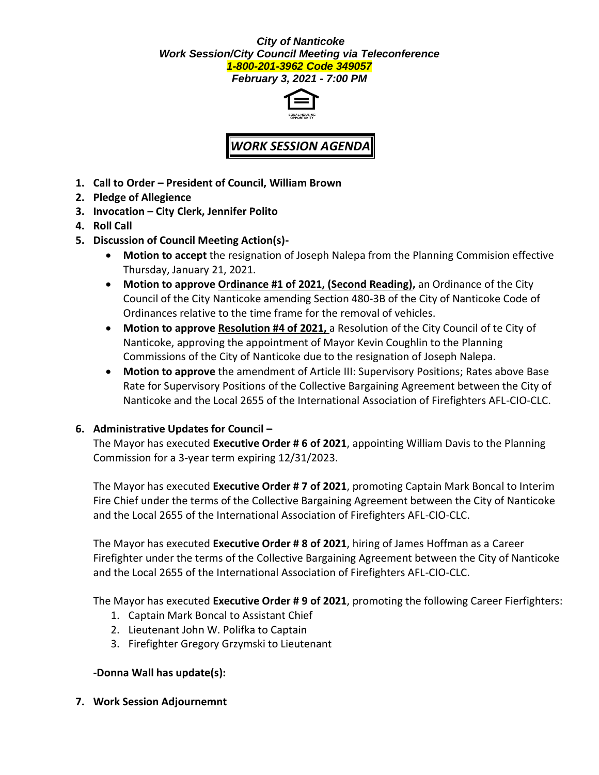#### *City of Nanticoke Work Session/City Council Meeting via Teleconference 1-800-201-3962 Code 349057*

*February 3, 2021 - 7:00 PM*



# *WORK SESSION AGENDA*

- **1. Call to Order – President of Council, William Brown**
- **2. Pledge of Allegience**
- **3. Invocation – City Clerk, Jennifer Polito**
- **4. Roll Call**
- **5. Discussion of Council Meeting Action(s)-**
	- **Motion to accept** the resignation of Joseph Nalepa from the Planning Commision effective Thursday, January 21, 2021.
	- **Motion to approve Ordinance #1 of 2021, (Second Reading),** an Ordinance of the City Council of the City Nanticoke amending Section 480-3B of the City of Nanticoke Code of Ordinances relative to the time frame for the removal of vehicles.
	- **Motion to approve Resolution #4 of 2021,** a Resolution of the City Council of te City of Nanticoke, approving the appointment of Mayor Kevin Coughlin to the Planning Commissions of the City of Nanticoke due to the resignation of Joseph Nalepa.
	- **Motion to approve** the amendment of Article III: Supervisory Positions; Rates above Base Rate for Supervisory Positions of the Collective Bargaining Agreement between the City of Nanticoke and the Local 2655 of the International Association of Firefighters AFL-CIO-CLC.

## **6. Administrative Updates for Council –**

The Mayor has executed **Executive Order # 6 of 2021**, appointing William Davis to the Planning Commission for a 3-year term expiring 12/31/2023.

The Mayor has executed **Executive Order # 7 of 2021**, promoting Captain Mark Boncal to Interim Fire Chief under the terms of the Collective Bargaining Agreement between the City of Nanticoke and the Local 2655 of the International Association of Firefighters AFL-CIO-CLC.

The Mayor has executed **Executive Order # 8 of 2021**, hiring of James Hoffman as a Career Firefighter under the terms of the Collective Bargaining Agreement between the City of Nanticoke and the Local 2655 of the International Association of Firefighters AFL-CIO-CLC.

The Mayor has executed **Executive Order # 9 of 2021**, promoting the following Career Fierfighters:

- 1. Captain Mark Boncal to Assistant Chief
- 2. Lieutenant John W. Polifka to Captain
- 3. Firefighter Gregory Grzymski to Lieutenant

## **-Donna Wall has update(s):**

**7. Work Session Adjournemnt**